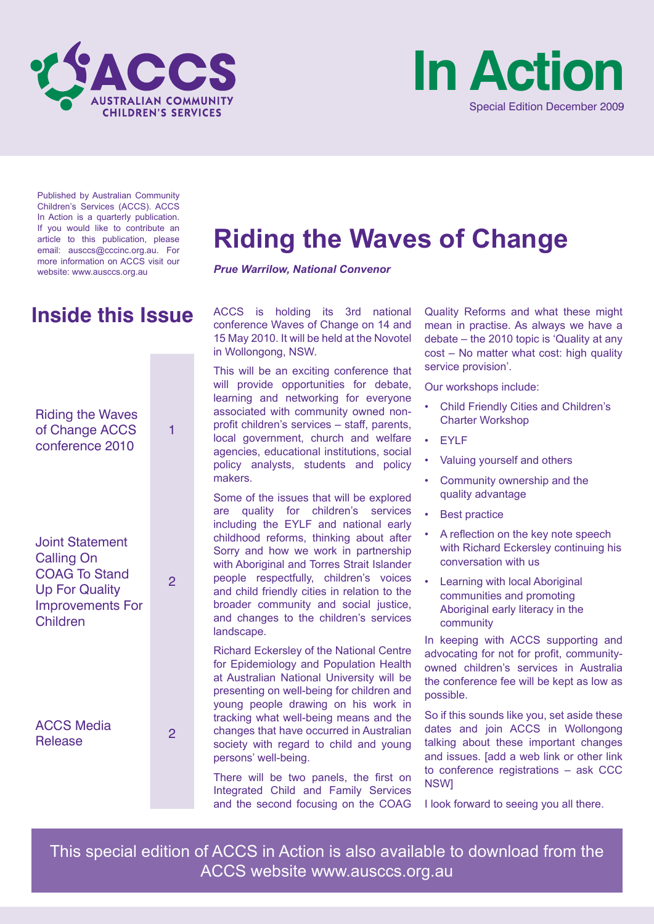



Published by Australian Community Children's Services (ACCS). ACCS In Action is a quarterly publication. If you would like to contribute an article to this publication, please email: ausccs@cccinc.org.au. For more information on ACCS visit our website: www.ausccs.org.au

# Riding the Waves of Change ACCS conference 2010 1 Joint Statement Calling On COAG To Stand Up For Quality Improvements For Children 2 **Inside this Issue**

ACCS Media Release 2

# **Riding the Waves of Change**

*Prue Warrilow, National Convenor*

ACCS is holding its 3rd national conference Waves of Change on 14 and 15 May 2010. It will be held at the Novotel in Wollongong, NSW.

This will be an exciting conference that will provide opportunities for debate, learning and networking for everyone associated with community owned nonprofit children's services – staff, parents, local government, church and welfare agencies, educational institutions, social policy analysts, students and policy makers.

Some of the issues that will be explored are quality for children's services including the EYLF and national early childhood reforms, thinking about after Sorry and how we work in partnership with Aboriginal and Torres Strait Islander people respectfully, children's voices and child friendly cities in relation to the broader community and social justice, and changes to the children's services landscape.

Richard Eckersley of the National Centre for Epidemiology and Population Health at Australian National University will be presenting on well-being for children and young people drawing on his work in tracking what well-being means and the changes that have occurred in Australian society with regard to child and young persons' well-being.

There will be two panels, the first on Integrated Child and Family Services and the second focusing on the COAG

Quality Reforms and what these might mean in practise. As always we have a debate – the 2010 topic is 'Quality at any cost – No matter what cost: high quality service provision'.

Our workshops include:

- Child Friendly Cities and Children's Charter Workshop
- EYLF
- Valuing yourself and others
- Community ownership and the quality advantage
- **Best practice**
- A reflection on the key note speech with Richard Eckersley continuing his conversation with us
- **Learning with local Aboriginal** communities and promoting Aboriginal early literacy in the community

In keeping with ACCS supporting and advocating for not for profit, communityowned children's services in Australia the conference fee will be kept as low as possible.

So if this sounds like you, set aside these dates and join ACCS in Wollongong talking about these important changes and issues. [add a web link or other link to conference registrations – ask CCC NSW]

I look forward to seeing you all there.

This special edition of ACCS in Action is also available to download from the ACCS website www.ausccs.org.au